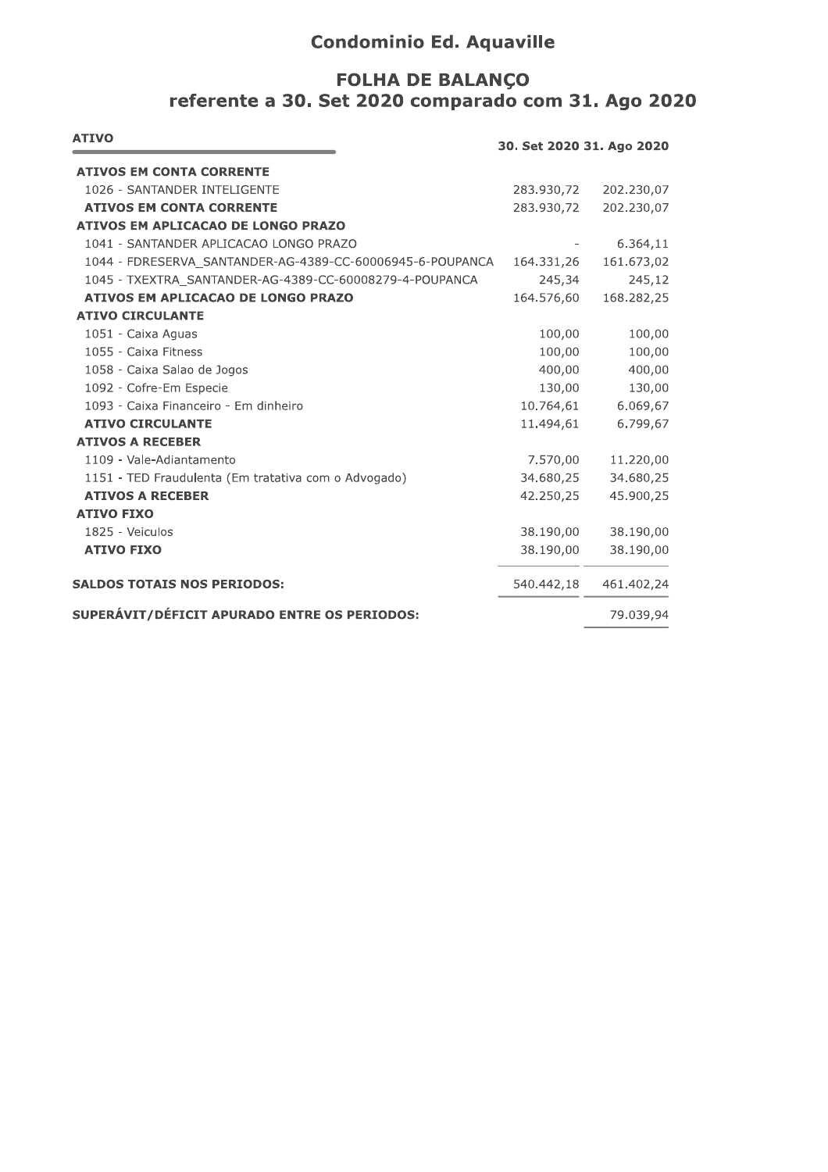## **Condominio Ed. Aquaville**

## **FOLHA DE BALANÇO** referente a 30. Set 2020 comparado com 31. Ago 2020

| <b>ATIVO</b>                                              | 30. Set 2020 31. Ago 2020 |            |
|-----------------------------------------------------------|---------------------------|------------|
| <b>ATIVOS EM CONTA CORRENTE</b>                           |                           |            |
| 1026 - SANTANDER INTELIGENTE                              | 283.930,72                | 202.230,07 |
| <b>ATIVOS EM CONTA CORRENTE</b>                           | 283.930,72                | 202.230,07 |
| ATIVOS EM APLICACAO DE LONGO PRAZO                        |                           |            |
| 1041 - SANTANDER APLICACAO LONGO PRAZO                    |                           | 6.364,11   |
| 1044 - FDRESERVA SANTANDER-AG-4389-CC-60006945-6-POUPANCA | 164.331,26                | 161.673,02 |
| 1045 - TXEXTRA SANTANDER-AG-4389-CC-60008279-4-POUPANCA   | 245,34                    | 245,12     |
| <b>ATIVOS EM APLICACAO DE LONGO PRAZO</b>                 | 164.576,60                | 168.282,25 |
| <b>ATIVO CIRCULANTE</b>                                   |                           |            |
| 1051 - Caixa Aguas                                        | 100,00                    | 100,00     |
| 1055 - Caixa Fitness                                      | 100,00                    | 100,00     |
| 1058 - Caixa Salao de Jogos                               | 400,00                    | 400,00     |
| 1092 - Cofre-Em Especie                                   | 130,00                    | 130,00     |
| 1093 - Caixa Financeiro - Em dinheiro                     | 10.764,61                 | 6.069,67   |
| <b>ATIVO CIRCULANTE</b>                                   | 11.494,61                 | 6.799,67   |
| <b>ATIVOS A RECEBER</b>                                   |                           |            |
| 1109 - Vale-Adiantamento                                  | 7.570,00                  | 11.220,00  |
| 1151 - TED Fraudulenta (Em tratativa com o Advogado)      | 34.680,25                 | 34.680,25  |
| <b>ATIVOS A RECEBER</b>                                   | 42.250,25                 | 45.900,25  |
| <b>ATIVO FIXO</b>                                         |                           |            |
| 1825 - Veiculos                                           | 38.190,00                 | 38.190,00  |
| <b>ATIVO FIXO</b>                                         | 38.190,00                 | 38.190,00  |
| <b>SALDOS TOTAIS NOS PERIODOS:</b>                        | 540.442,18                | 461.402,24 |
| SUPERÁVIT/DÉFICIT APURADO ENTRE OS PERIODOS:              |                           | 79.039,94  |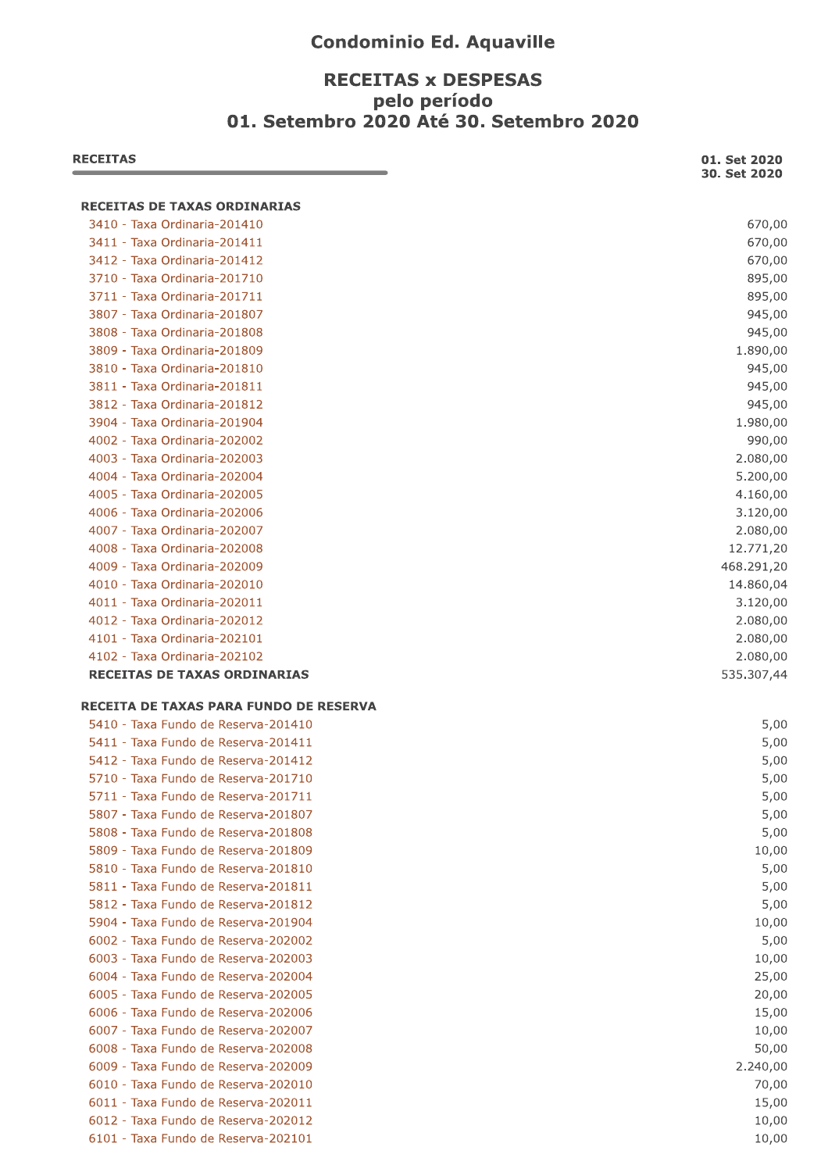## **Condominio Ed. Aquaville**

# **RECEITAS x DESPESAS** pelo período<br>01. Setembro 2020 Até 30. Setembro 2020

| <b>RECEITAS</b>                               | 01. Set 2020<br>30. Set 2020 |
|-----------------------------------------------|------------------------------|
| <b>RECEITAS DE TAXAS ORDINARIAS</b>           |                              |
| 3410 - Taxa Ordinaria-201410                  | 670,00                       |
| 3411 - Taxa Ordinaria-201411                  | 670,00                       |
| 3412 - Taxa Ordinaria-201412                  | 670,00                       |
| 3710 - Taxa Ordinaria-201710                  | 895,00                       |
| 3711 - Taxa Ordinaria-201711                  | 895,00                       |
| 3807 - Taxa Ordinaria-201807                  | 945,00                       |
| 3808 - Taxa Ordinaria-201808                  | 945,00                       |
| 3809 - Taxa Ordinaria-201809                  | 1.890,00                     |
| 3810 - Taxa Ordinaria-201810                  | 945,00                       |
| 3811 - Taxa Ordinaria-201811                  | 945,00                       |
| 3812 - Taxa Ordinaria-201812                  | 945,00                       |
| 3904 - Taxa Ordinaria-201904                  | 1.980,00                     |
| 4002 - Taxa Ordinaria-202002                  | 990,00                       |
| 4003 - Taxa Ordinaria-202003                  | 2.080,00                     |
| 4004 - Taxa Ordinaria-202004                  | 5.200,00                     |
| 4005 - Taxa Ordinaria-202005                  | 4.160,00                     |
| 4006 - Taxa Ordinaria-202006                  | 3.120,00                     |
| 4007 - Taxa Ordinaria-202007                  | 2.080,00                     |
| 4008 - Taxa Ordinaria-202008                  | 12.771,20                    |
| 4009 - Taxa Ordinaria-202009                  | 468.291,20                   |
| 4010 - Taxa Ordinaria-202010                  | 14.860,04                    |
| 4011 - Taxa Ordinaria-202011                  | 3.120,00                     |
| 4012 - Taxa Ordinaria-202012                  | 2.080,00                     |
| 4101 - Taxa Ordinaria-202101                  | 2.080,00                     |
| 4102 - Taxa Ordinaria-202102                  | 2.080,00                     |
| <b>RECEITAS DE TAXAS ORDINARIAS</b>           | 535.307,44                   |
| <b>RECEITA DE TAXAS PARA FUNDO DE RESERVA</b> |                              |
| 5410 - Taxa Fundo de Reserva-201410           | 5,00                         |
| 5411 - Taxa Fundo de Reserva-201411           | 5,00                         |
| 5412 - Taxa Fundo de Reserva-201412           | 5,00                         |
| 5710 - Taxa Fundo de Reserva-201710           | 5,00                         |
| 5711 - Taxa Fundo de Reserva-201711           | 5,00                         |
| 5807 - Taxa Fundo de Reserva-201807           | 5,00                         |
| 5808 - Taxa Fundo de Reserva-201808           | 5,00                         |
| 5809 - Taxa Fundo de Reserva-201809           | 10,00                        |
| 5810 - Taxa Fundo de Reserva-201810           | 5,00                         |
| 5811 - Taxa Fundo de Reserva-201811           | 5,00                         |
| 5812 - Taxa Fundo de Reserva-201812           | 5,00                         |
| 5904 - Taxa Fundo de Reserva-201904           | 10,00                        |
| 6002 - Taxa Fundo de Reserva-202002           | 5,00                         |
| 6003 - Taxa Fundo de Reserva-202003           | 10,00                        |
| 6004 - Taxa Fundo de Reserva-202004           | 25,00                        |
| 6005 - Taxa Fundo de Reserva-202005           | 20,00                        |
| 6006 - Taxa Fundo de Reserva-202006           | 15,00                        |
| 6007 - Taxa Fundo de Reserva-202007           | 10,00                        |
| 6008 - Taxa Fundo de Reserva-202008           | 50,00                        |
| 6009 - Taxa Fundo de Reserva-202009           | 2.240,00                     |
| 6010 - Taxa Fundo de Reserva-202010           | 70,00                        |
| 6011 - Taxa Fundo de Reserva-202011           | 15,00                        |
| 6012 - Taxa Fundo de Reserva-202012           | 10,00                        |
| 6101 - Taxa Fundo de Reserva-202101           | 10,00                        |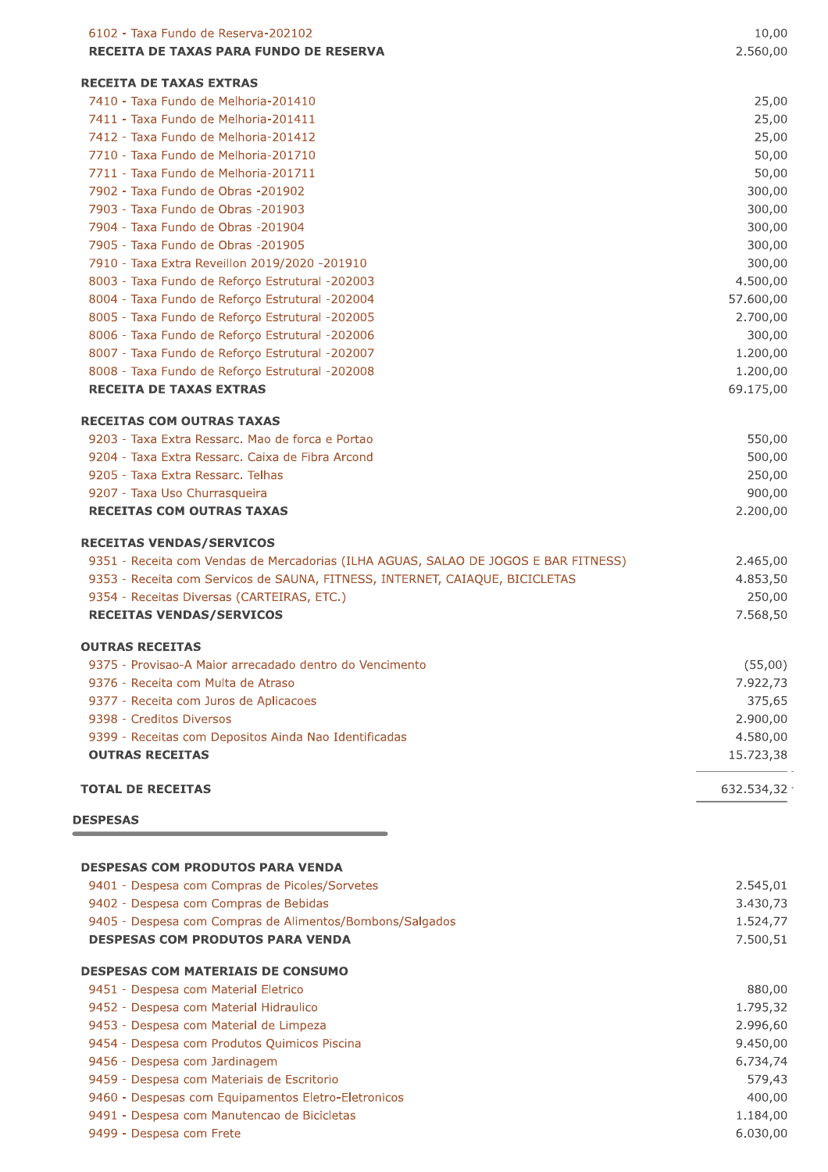| 6102 - Taxa Fundo de Reserva-202102                                                                | 10,00                 |
|----------------------------------------------------------------------------------------------------|-----------------------|
| RECEITA DE TAXAS PARA FUNDO DE RESERVA                                                             | 2.560,00              |
| <b>RECEITA DE TAXAS EXTRAS</b>                                                                     |                       |
| 7410 - Taxa Fundo de Melhoria-201410                                                               | 25,00                 |
| 7411 - Taxa Fundo de Melhoria-201411                                                               | 25,00                 |
| 7412 - Taxa Fundo de Melhoria-201412                                                               | 25,00                 |
| 7710 - Taxa Fundo de Melhoria-201710                                                               | 50,00                 |
| 7711 - Taxa Fundo de Melhoria-201711                                                               | 50,00                 |
| 7902 - Taxa Fundo de Obras -201902                                                                 | 300,00                |
| 7903 - Taxa Fundo de Obras -201903                                                                 | 300,00                |
| 7904 - Taxa Fundo de Obras -201904                                                                 | 300,00                |
| 7905 - Taxa Fundo de Obras -201905                                                                 | 300,00                |
| 7910 - Taxa Extra Reveillon 2019/2020 -201910                                                      | 300,00                |
| 8003 - Taxa Fundo de Reforço Estrutural -202003<br>8004 - Taxa Fundo de Reforço Estrutural -202004 | 4.500,00<br>57.600,00 |
| 8005 - Taxa Fundo de Reforço Estrutural -202005                                                    | 2.700,00              |
| 8006 - Taxa Fundo de Reforço Estrutural -202006                                                    | 300,00                |
| 8007 - Taxa Fundo de Reforço Estrutural -202007                                                    | 1.200,00              |
| 8008 - Taxa Fundo de Reforço Estrutural -202008                                                    | 1.200,00              |
| <b>RECEITA DE TAXAS EXTRAS</b>                                                                     | 69.175,00             |
| <b>RECEITAS COM OUTRAS TAXAS</b>                                                                   |                       |
| 9203 - Taxa Extra Ressarc. Mao de forca e Portao                                                   | 550,00                |
| 9204 - Taxa Extra Ressarc, Caixa de Fibra Arcond                                                   | 500,00                |
| 9205 - Taxa Extra Ressarc, Telhas                                                                  | 250,00                |
| 9207 - Taxa Uso Churrasqueira                                                                      | 900,00                |
| <b>RECEITAS COM OUTRAS TAXAS</b>                                                                   | 2.200,00              |
| <b>RECEITAS VENDAS/SERVICOS</b>                                                                    |                       |
| 9351 - Receita com Vendas de Mercadorias (ILHA AGUAS, SALAO DE JOGOS E BAR FITNESS)                | 2.465,00              |
| 9353 - Receita com Servicos de SAUNA, FITNESS, INTERNET, CAIAQUE, BICICLETAS                       | 4.853,50              |
| 9354 - Receitas Diversas (CARTEIRAS, ETC.)                                                         | 250,00                |
| <b>RECEITAS VENDAS/SERVICOS</b>                                                                    | 7.568,50              |
| <b>OUTRAS RECEITAS</b>                                                                             |                       |
| 9375 - Provisao-A Maior arrecadado dentro do Vencimento                                            | (55,00)               |
| 9376 - Receita com Multa de Atraso                                                                 | 7.922,73              |
| 9377 - Receita com Juros de Aplicacoes                                                             | 375,65                |
| 9398 - Creditos Diversos                                                                           | 2.900,00              |
| 9399 - Receitas com Depositos Ainda Nao Identificadas                                              | 4.580,00              |
| <b>OUTRAS RECEITAS</b>                                                                             | 15.723,38             |
| <b>TOTAL DE RECEITAS</b>                                                                           | 632.534,32            |
| <b>DESPESAS</b>                                                                                    |                       |
|                                                                                                    |                       |
| <b>DESPESAS COM PRODUTOS PARA VENDA</b>                                                            |                       |
| 9401 - Despesa com Compras de Picoles/Sorvetes                                                     | 2.545,01              |
| 9402 - Despesa com Compras de Bebidas                                                              | 3.430,73              |
| 9405 - Despesa com Compras de Alimentos/Bombons/Salgados                                           | 1.524,77              |
| <b>DESPESAS COM PRODUTOS PARA VENDA</b>                                                            | 7.500,51              |
| <b>DESPESAS COM MATERIAIS DE CONSUMO</b>                                                           |                       |
| 9451 - Despesa com Material Eletrico                                                               | 880,00                |
| 9452 - Despesa com Material Hidraulico                                                             | 1.795,32              |
| 9453 - Despesa com Material de Limpeza                                                             | 2.996,60              |
| 9454 - Despesa com Produtos Quimicos Piscina                                                       | 9.450,00              |
| 9456 - Despesa com Jardinagem                                                                      | 6.734,74              |
| 9459 - Despesa com Materiais de Escritorio                                                         | 579,43                |
| 9460 - Despesas com Equipamentos Eletro-Eletronicos<br>9491 - Despesa com Manutencao de Bicicletas | 400,00<br>1.184,00    |
| 9499 - Despesa com Frete                                                                           | 6.030,00              |
|                                                                                                    |                       |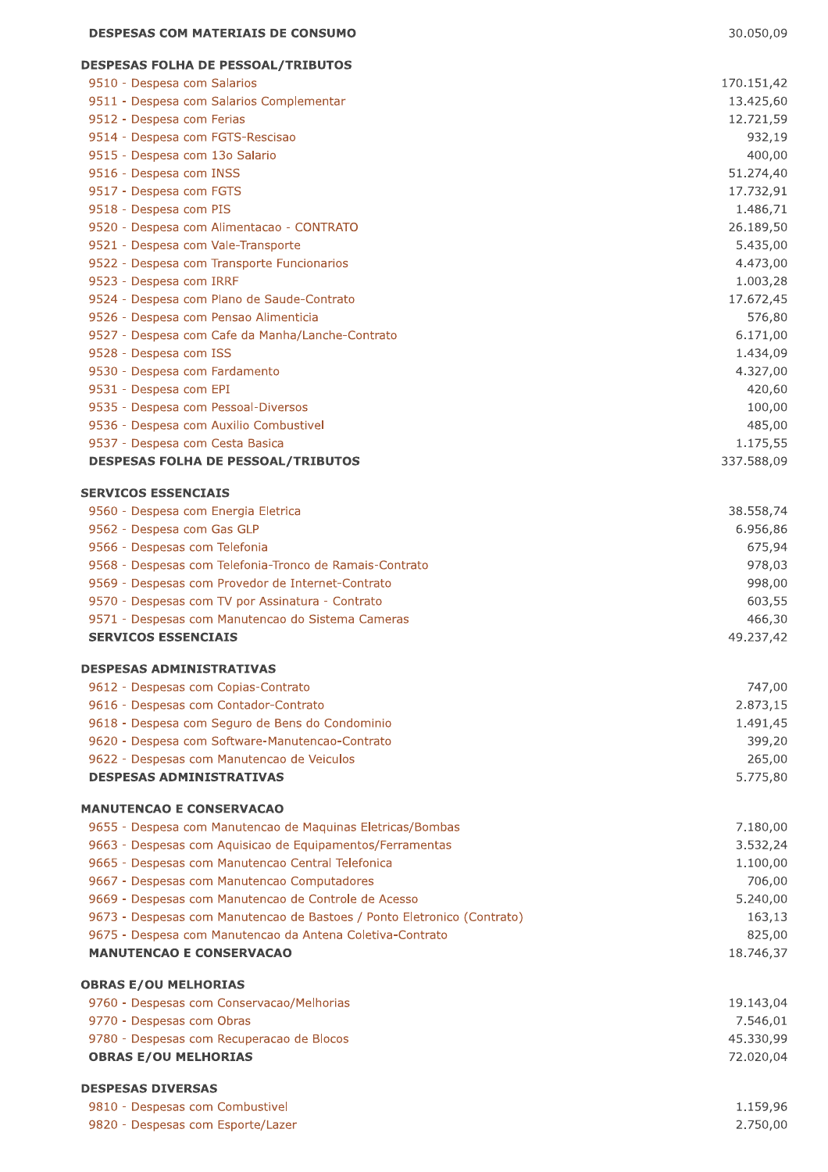### -------------------------------

| <b>DESPESAS COM MATERIAIS DE CONSUMO</b>         |  |
|--------------------------------------------------|--|
| <b>DESPESAS FOLHA DE PESSOAL/TRIBUTOS</b>        |  |
| 9510 - Despesa com Salarios                      |  |
| 9511 - Despesa com Salarios Complementar         |  |
| 9512 - Despesa com Ferias                        |  |
| 9514 - Despesa com FGTS-Rescisao                 |  |
| 9515 - Despesa com 13o Salario                   |  |
| 9516 - Despesa com INSS                          |  |
| 9517 - Despesa com FGTS                          |  |
| 9518 - Despesa com PIS                           |  |
| 9520 - Despesa com Alimentacao - CONTRATO        |  |
| 9521 - Despesa com Vale-Transporte               |  |
| 9522 - Despesa com Transporte Funcionarios       |  |
| 9523 - Despesa com IRRF                          |  |
| 9524 - Despesa com Plano de Saude-Contrato       |  |
| 9526 - Despesa com Pensao Alimenticia            |  |
| 9527 - Despesa com Cafe da Manha/Lanche-Contrato |  |
| 9528 - Despesa com ISS                           |  |
| 9530 - Despesa com Fardamento                    |  |
| 9531 - Despesa com EPI                           |  |
| 9535 - Despesa com Pessoal-Diversos              |  |
| 9536 - Despesa com Auxilio Combustivel           |  |

9537 - Despesa com Cesta Basica

#### **DESPESAS FOLHA DE PESSOAL/TRIBUTOS**

#### **SERVICOS ESSENCIAIS**

| 9560 - Despesa com Energia Eletrica                     | 38.558,74 |
|---------------------------------------------------------|-----------|
| 9562 - Despesa com Gas GLP                              | 6.956.86  |
| 9566 - Despesas com Telefonia                           | 675,94    |
| 9568 - Despesas com Telefonia-Tronco de Ramais-Contrato | 978,03    |
| 9569 - Despesas com Provedor de Internet-Contrato       | 998,00    |
| 9570 - Despesas com TV por Assinatura - Contrato        | 603,55    |
| 9571 - Despesas com Manutencao do Sistema Cameras       | 466,30    |
| <b>SERVICOS ESSENCIAIS</b>                              | 49.237.42 |

#### **SERVICOS ESSENCIAIS**

#### **DESPESAS ADMINISTRATIVAS**

| 9612 - Despesas com Copias-Contrato             | 747.00   |
|-------------------------------------------------|----------|
| 9616 - Despesas com Contador-Contrato           | 2.873,15 |
| 9618 - Despesa com Seguro de Bens do Condominio | 1.491,45 |
| 9620 - Despesa com Software-Manutencao-Contrato | 399,20   |
| 9622 - Despesas com Manutencao de Veiculos      | 265,00   |
| <b>DESPESAS ADMINISTRATIVAS</b>                 | 5.775.80 |

#### **MANUTENCAO E CONSERVACAO**

| 9655 - Despesa com Manutencao de Maguinas Eletricas/Bombas              | 7.180,00  |
|-------------------------------------------------------------------------|-----------|
| 9663 - Despesas com Aguisicao de Equipamentos/Ferramentas               | 3.532.24  |
| 9665 - Despesas com Manutencao Central Telefonica                       | 1.100,00  |
| 9667 - Despesas com Manutencao Computadores                             | 706,00    |
| 9669 - Despesas com Manutencao de Controle de Acesso                    | 5.240,00  |
| 9673 - Despesas com Manutencao de Bastoes / Ponto Eletronico (Contrato) | 163,13    |
| 9675 - Despesa com Manutencao da Antena Coletiva-Contrato               | 825,00    |
| <b>MANUTENCAO E CONSERVACAO</b>                                         | 18.746.37 |

#### **OBRAS E/OU MELHORIAS** 9760 - Despesas com Conservacao/Melhorias 19.143,04 9770 - Despesas com Obras 7.546,01

| 9780 - Despesas com Recuperacao de Blocos | 45.330,99 |
|-------------------------------------------|-----------|
| <b>OBRAS E/OU MELHORIAS</b>               | 72.020.04 |

#### **DESPESAS DIVERSAS**

| 9810 - Despesas com Combustivel   | 1.159,96 |
|-----------------------------------|----------|
| 9820 - Despesas com Esporte/Lazer | 2.750.00 |

170.151,42 13.425,60 12.721,59 932,19 400,00 51.274,40 17.732,91 1.486,71 26.189,50 5.435,00 4.473,00 1.003,28 17.672,45 576,80 6.171,00 1.434,09 4.327,00 420,60 100,00 485,00

1.175,55 337.588,09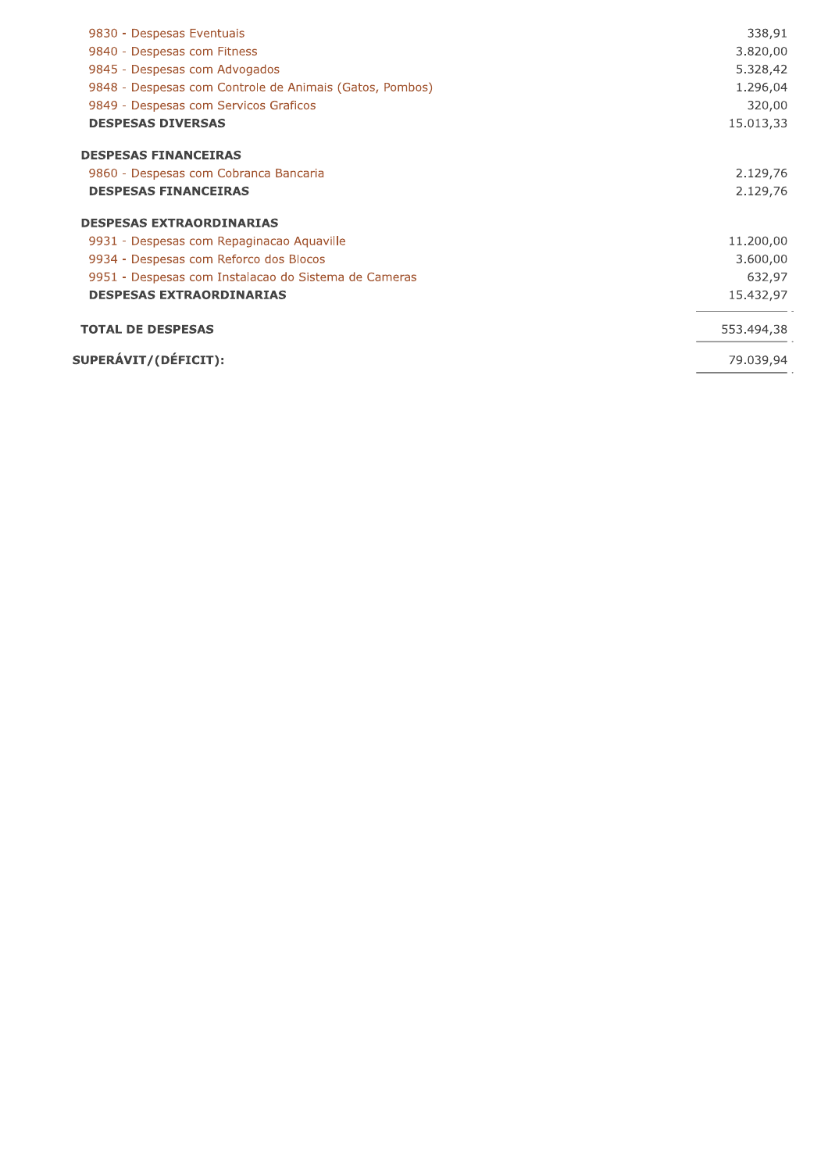| 9830 - Despesas Eventuais                               | 338,91     |
|---------------------------------------------------------|------------|
| 9840 - Despesas com Fitness                             | 3.820,00   |
| 9845 - Despesas com Advogados                           | 5.328,42   |
| 9848 - Despesas com Controle de Animais (Gatos, Pombos) | 1.296,04   |
| 9849 - Despesas com Servicos Graficos                   | 320,00     |
| <b>DESPESAS DIVERSAS</b>                                | 15.013,33  |
| <b>DESPESAS FINANCEIRAS</b>                             |            |
| 9860 - Despesas com Cobranca Bancaria                   | 2.129,76   |
| <b>DESPESAS FINANCEIRAS</b>                             | 2.129,76   |
| <b>DESPESAS EXTRAORDINARIAS</b>                         |            |
| 9931 - Despesas com Repaginacao Aguaville               | 11.200,00  |
| 9934 - Despesas com Reforco dos Blocos                  | 3.600,00   |
| 9951 - Despesas com Instalacao do Sistema de Cameras    | 632,97     |
| <b>DESPESAS EXTRAORDINARIAS</b>                         | 15.432,97  |
| <b>TOTAL DE DESPESAS</b>                                | 553.494,38 |
| SUPERÁVIT/(DÉFICIT):                                    | 79.039,94  |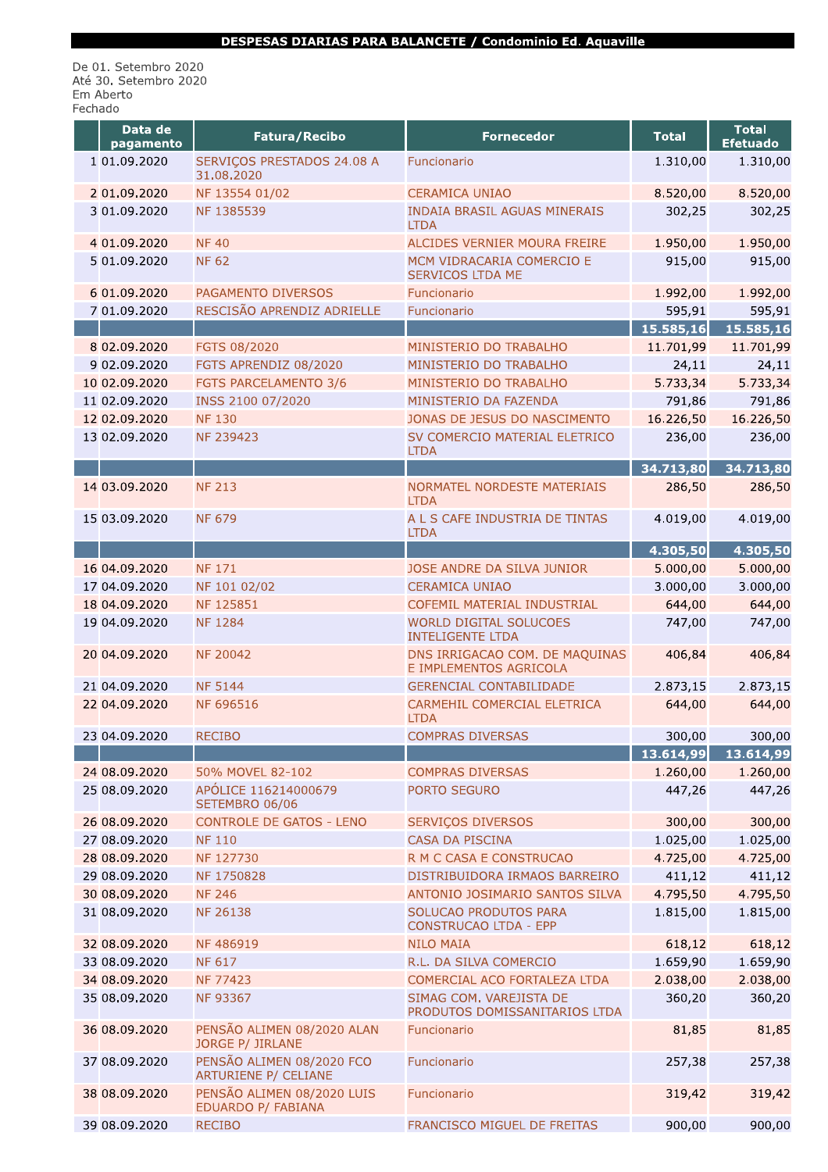De 01. Setembro 2020<br>Até 30. Setembro 2020 Em Aberto<br>Fechado

| Data de<br>pagamento           | Fatura/Recibo                                              | <b>Fornecedor</b>                                        | <b>Total</b>           | <b>Total</b><br><b>Efetuado</b> |
|--------------------------------|------------------------------------------------------------|----------------------------------------------------------|------------------------|---------------------------------|
| 1 01.09.2020                   | SERVIÇOS PRESTADOS 24.08 A<br>31.08.2020                   | Funcionario                                              | 1.310,00               | 1.310,00                        |
| 2 01.09.2020                   | NF 13554 01/02                                             | <b>CERAMICA UNIAO</b>                                    | 8.520,00               | 8.520,00                        |
| 3 01.09.2020                   | NF 1385539                                                 | <b>INDAIA BRASIL AGUAS MINERAIS</b><br><b>LTDA</b>       | 302,25                 | 302,25                          |
| 4 01.09.2020                   | <b>NF40</b>                                                | ALCIDES VERNIER MOURA FREIRE                             | 1.950,00               | 1.950,00                        |
| 5 01.09.2020                   | <b>NF 62</b>                                               | MCM VIDRACARIA COMERCIO E<br><b>SERVICOS LTDA ME</b>     | 915,00                 | 915,00                          |
| 6 01.09.2020                   | PAGAMENTO DIVERSOS                                         | Funcionario                                              | 1.992,00               | 1.992,00                        |
| 7 01.09.2020                   | RESCISÃO APRENDIZ ADRIELLE                                 | Funcionario                                              | 595,91                 | 595,91                          |
| 8 02.09.2020                   | FGTS 08/2020                                               | MINISTERIO DO TRABALHO                                   | 15.585,16<br>11.701,99 | 15.585,16<br>11.701,99          |
| 9 02.09.2020                   | FGTS APRENDIZ 08/2020                                      | MINISTERIO DO TRABALHO                                   | 24,11                  | 24,11                           |
| 10 02.09.2020                  | <b>FGTS PARCELAMENTO 3/6</b>                               | MINISTERIO DO TRABALHO                                   | 5.733,34               | 5.733,34                        |
| 11 02.09.2020                  | INSS 2100 07/2020                                          | MINISTERIO DA FAZENDA                                    | 791,86                 | 791,86                          |
| 12 02.09.2020                  | <b>NF 130</b>                                              | JONAS DE JESUS DO NASCIMENTO                             | 16.226,50              | 16.226,50                       |
| 13 02.09.2020                  | NF 239423                                                  | SV COMERCIO MATERIAL ELETRICO                            | 236,00                 | 236,00                          |
|                                |                                                            | <b>LTDA</b>                                              |                        |                                 |
| 14 03.09.2020                  |                                                            | NORMATEL NORDESTE MATERIAIS                              | 34.713,80              | 34.713,80                       |
|                                | <b>NF 213</b>                                              | <b>LTDA</b>                                              | 286,50                 | 286,50                          |
| 15 03.09.2020                  | <b>NF 679</b>                                              | A L S CAFE INDUSTRIA DE TINTAS<br><b>LTDA</b>            | 4.019,00               | 4.019,00                        |
|                                |                                                            |                                                          | 4.305,50               | 4.305,50                        |
| 16 04.09.2020                  | <b>NF 171</b>                                              | JOSE ANDRE DA SILVA JUNIOR                               | 5.000,00               | 5.000,00                        |
| 17 04.09.2020<br>18 04.09.2020 | NF 101 02/02<br>NF 125851                                  | <b>CERAMICA UNIAO</b><br>COFEMIL MATERIAL INDUSTRIAL     | 3.000,00<br>644,00     | 3.000,00<br>644,00              |
| 19 04.09.2020                  | <b>NF1284</b>                                              | WORLD DIGITAL SOLUCOES                                   | 747,00                 | 747,00                          |
|                                |                                                            | <b>INTELIGENTE LTDA</b>                                  |                        |                                 |
| 20 04.09.2020                  | <b>NF 20042</b>                                            | DNS IRRIGACAO COM. DE MAQUINAS<br>E IMPLEMENTOS AGRICOLA | 406,84                 | 406,84                          |
| 21 04.09.2020                  | <b>NF 5144</b>                                             | <b>GERENCIAL CONTABILIDADE</b>                           | 2.873,15               | 2.873,15                        |
| 22 04.09.2020                  | NF 696516                                                  | CARMEHIL COMERCIAL ELETRICA<br><b>LTDA</b>               | 644,00                 | 644,00                          |
| 23 04.09.2020                  | <b>RECIBO</b>                                              | <b>COMPRAS DIVERSAS</b>                                  | 300,00                 | 300,00                          |
| 24 08.09.2020                  |                                                            |                                                          | 13.614,99              | 13.614,99                       |
| 25 08.09.2020                  | 50% MOVEL 82-102<br>APÓLICE 116214000679<br>SETEMBRO 06/06 | <b>COMPRAS DIVERSAS</b><br>PORTO SEGURO                  | 1.260,00<br>447,26     | 1.260,00<br>447,26              |
| 26 08.09.2020                  | <b>CONTROLE DE GATOS - LENO</b>                            | <b>SERVIÇOS DIVERSOS</b>                                 | 300,00                 | 300,00                          |
| 27 08.09.2020                  | <b>NF 110</b>                                              | <b>CASA DA PISCINA</b>                                   | 1.025,00               | 1.025,00                        |
| 28 08.09.2020                  | NF 127730                                                  | R M C CASA E CONSTRUCAO                                  | 4.725,00               | 4.725,00                        |
| 29 08.09.2020                  | NF 1750828                                                 | DISTRIBUIDORA IRMAOS BARREIRO                            | 411,12                 | 411,12                          |
| 30 08.09.2020                  | <b>NF 246</b>                                              | ANTONIO JOSIMARIO SANTOS SILVA                           | 4.795,50               | 4.795,50                        |
| 31 08.09.2020                  | NF 26138                                                   | SOLUCAO PRODUTOS PARA<br><b>CONSTRUCAO LTDA - EPP</b>    | 1.815,00               | 1.815,00                        |
| 32 08.09.2020                  | NF 486919                                                  | <b>NILO MAIA</b>                                         | 618,12                 | 618,12                          |
| 33 08.09.2020                  | <b>NF 617</b>                                              | R.L. DA SILVA COMERCIO                                   | 1.659,90               | 1.659,90                        |
| 34 08.09.2020                  | <b>NF 77423</b>                                            | COMERCIAL ACO FORTALEZA LTDA                             | 2.038,00               | 2.038,00                        |
| 35 08.09.2020                  | NF 93367                                                   | SIMAG COM. VAREJISTA DE<br>PRODUTOS DOMISSANITARIOS LTDA | 360,20                 | 360,20                          |
| 36 08.09.2020                  | PENSÃO ALIMEN 08/2020 ALAN<br>JORGE P/ JIRLANE             | Funcionario                                              | 81,85                  | 81,85                           |
| 37 08.09.2020                  | PENSÃO ALIMEN 08/2020 FCO<br><b>ARTURIENE P/ CELIANE</b>   | Funcionario                                              | 257,38                 | 257,38                          |
| 38 08.09.2020                  | PENSÃO ALIMEN 08/2020 LUIS<br>EDUARDO P/ FABIANA           | Funcionario                                              | 319,42                 | 319,42                          |
| 39 08.09.2020                  | <b>RECIBO</b>                                              | FRANCISCO MIGUEL DE FREITAS                              | 900,00                 | 900,00                          |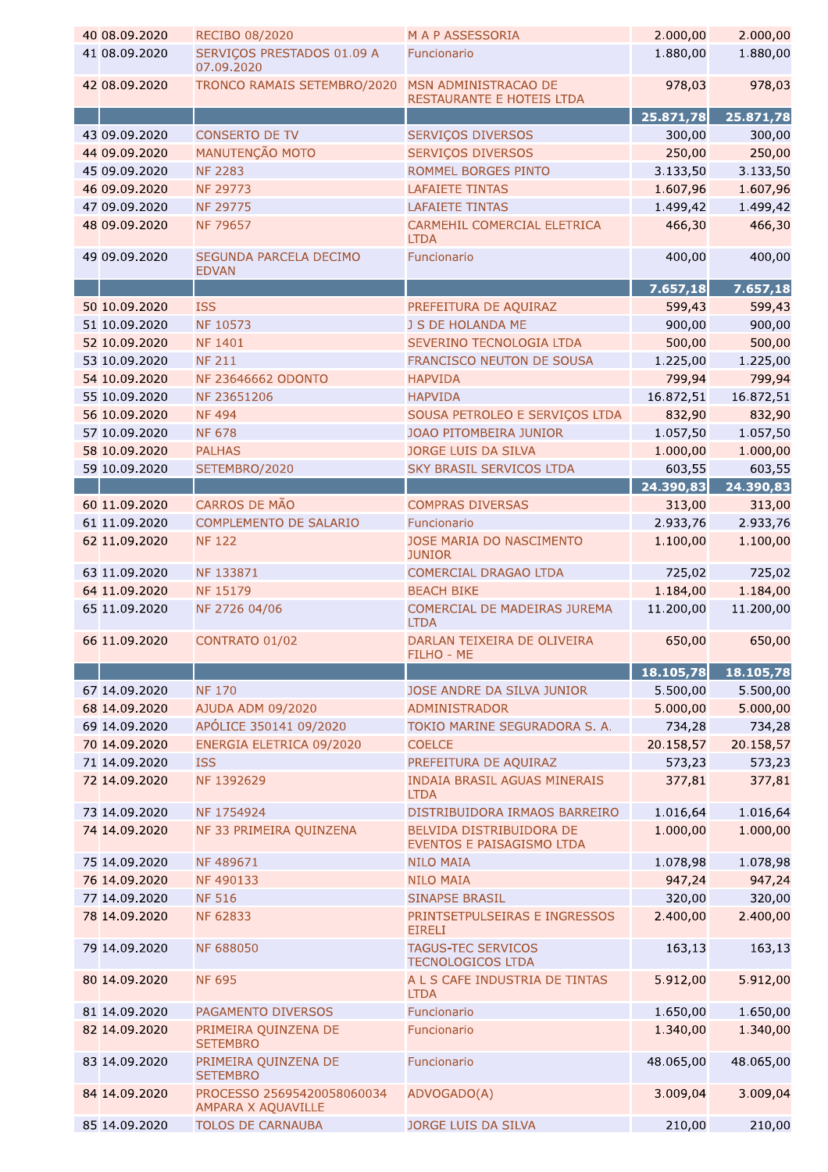| 40 08.09.2020                  | RECIBO 08/2020                                                               | <b>MAP ASSESSORIA</b>                                 | 2.000,00             | 2.000,00           |
|--------------------------------|------------------------------------------------------------------------------|-------------------------------------------------------|----------------------|--------------------|
| 41 08.09.2020                  | SERVIÇOS PRESTADOS 01.09 A<br>07.09.2020                                     | Funcionario                                           | 1.880,00             | 1.880,00           |
| 42 08.09.2020                  | TRONCO RAMAIS SETEMBRO/2020                                                  | MSN ADMINISTRACAO DE<br>RESTAURANTE E HOTEIS LTDA     | 978,03               | 978,03             |
|                                |                                                                              |                                                       | 25.871,78            | 25.871,78          |
| 43 09.09.2020                  | <b>CONSERTO DE TV</b>                                                        | <b>SERVIÇOS DIVERSOS</b>                              | 300,00               | 300,00             |
| 44 09.09.2020                  | MANUTENÇÃO MOTO                                                              | SERVIÇOS DIVERSOS                                     | 250,00               | 250,00             |
| 45 09.09.2020                  | <b>NF 2283</b>                                                               | ROMMEL BORGES PINTO                                   | 3.133,50             | 3.133,50           |
| 46 09.09.2020                  | <b>NF 29773</b>                                                              | <b>LAFAIETE TINTAS</b>                                | 1.607,96             | 1.607,96           |
| 47 09.09.2020                  | NF 29775                                                                     | <b>LAFAIETE TINTAS</b>                                | 1.499,42             | 1.499,42           |
| 48 09.09.2020                  | <b>NF 79657</b>                                                              | CARMEHIL COMERCIAL ELETRICA<br><b>LTDA</b>            | 466,30               | 466,30             |
| 49 09.09.2020                  | SEGUNDA PARCELA DECIMO<br><b>EDVAN</b>                                       | Funcionario                                           | 400,00               | 400,00             |
|                                |                                                                              |                                                       | 7.657,18             | 7.657,18           |
| 50 10.09.2020                  | <b>ISS</b>                                                                   | PREFEITURA DE AQUIRAZ                                 | 599,43               | 599,43             |
| 51 10.09.2020                  | NF 10573                                                                     | J S DE HOLANDA ME                                     | 900,00               | 900,00             |
| 52 10.09.2020                  | <b>NF 1401</b>                                                               | SEVERINO TECNOLOGIA LTDA                              | 500,00               | 500,00             |
| 53 10.09.2020                  | <b>NF 211</b>                                                                | FRANCISCO NEUTON DE SOUSA                             | 1.225,00             | 1.225,00           |
| 54 10.09.2020                  | <b>NF 23646662 ODONTO</b>                                                    | <b>HAPVIDA</b>                                        | 799,94               | 799,94             |
| 55 10.09.2020                  | NF 23651206                                                                  | <b>HAPVIDA</b>                                        | 16.872,51            | 16.872,51          |
| 56 10.09.2020                  | <b>NF494</b>                                                                 | SOUSA PETROLEO E SERVIÇOS LTDA                        | 832,90               | 832,90             |
| 57 10.09.2020                  | <b>NF 678</b>                                                                | JOAO PITOMBEIRA JUNIOR                                | 1.057,50             | 1.057,50           |
| 58 10.09.2020                  | <b>PALHAS</b>                                                                | JORGE LUIS DA SILVA                                   | 1.000,00             | 1.000,00           |
| 59 10.09.2020                  | SETEMBRO/2020                                                                | <b>SKY BRASIL SERVICOS LTDA</b>                       | 603,55               | 603,55             |
|                                |                                                                              |                                                       | 24.390,83            | 24.390,83          |
| 60 11.09.2020                  | CARROS DE MÃO                                                                | <b>COMPRAS DIVERSAS</b>                               | 313,00               | 313,00             |
| 61 11.09.2020                  | COMPLEMENTO DE SALARIO                                                       | Funcionario                                           | 2.933,76             | 2.933,76           |
| 62 11.09.2020                  | <b>NF122</b>                                                                 | JOSE MARIA DO NASCIMENTO<br><b>JUNIOR</b>             | 1.100,00             | 1.100,00           |
| 63 11.09.2020                  | NF 133871                                                                    | COMERCIAL DRAGAO LTDA                                 | 725,02               | 725,02             |
| 64 11.09.2020                  | NF 15179                                                                     | <b>BEACH BIKE</b>                                     | 1.184,00             | 1.184,00           |
| 65 11.09.2020                  | NF 2726 04/06                                                                | COMERCIAL DE MADEIRAS JUREMA<br><b>LTDA</b>           | 11.200,00            | 11.200,00          |
| 66 11.09.2020                  | CONTRATO 01/02                                                               | DARLAN TEIXEIRA DE OLIVEIRA<br>FILHO - ME             | 650,00               | 650,00             |
|                                |                                                                              |                                                       | 18.105,78            | 18.105,78          |
| 67 14.09.2020                  | <b>NF170</b>                                                                 | JOSE ANDRE DA SILVA JUNIOR                            | 5.500,00             | 5.500,00           |
| 68 14.09.2020                  | AJUDA ADM 09/2020                                                            | <b>ADMINISTRADOR</b>                                  | 5.000,00             | 5.000,00           |
| 69 14.09.2020                  | APÓLICE 350141 09/2020                                                       | TOKIO MARINE SEGURADORA S. A.                         | 734,28               | 734,28             |
| 70 14.09.2020                  | ENERGIA ELETRICA 09/2020                                                     | <b>COELCE</b>                                         | 20.158,57            | 20.158,57          |
| 71 14.09.2020                  | <b>ISS</b>                                                                   | PREFEITURA DE AQUIRAZ                                 | 573,23               | 573,23             |
| 72 14.09.2020                  | NF 1392629                                                                   | <b>INDAIA BRASIL AGUAS MINERAIS</b>                   | 377,81               | 377,81             |
| 73 14.09.2020                  | NF 1754924                                                                   | <b>LTDA</b>                                           |                      |                    |
|                                |                                                                              | DISTRIBUIDORA IRMAOS BARREIRO                         | 1.016,64<br>1.000,00 | 1.016,64           |
| 74 14.09.2020                  | NF 33 PRIMEIRA QUINZENA                                                      | BELVIDA DISTRIBUIDORA DE<br>EVENTOS E PAISAGISMO LTDA |                      | 1.000,00           |
| 75 14.09.2020                  | NF 489671                                                                    | <b>NILO MAIA</b>                                      | 1.078,98             | 1.078,98           |
| 76 14.09.2020                  | NF 490133                                                                    | <b>NILO MAIA</b>                                      | 947,24               | 947,24             |
| 77 14.09.2020                  | <b>NF 516</b>                                                                | <b>SINAPSE BRASIL</b>                                 | 320,00               | 320,00             |
| 78 14.09.2020                  | NF 62833                                                                     | PRINTSETPULSEIRAS E INGRESSOS<br><b>EIRELI</b>        | 2.400,00             | 2.400,00           |
| 79 14.09.2020                  | <b>NF 688050</b>                                                             | <b>TAGUS-TEC SERVICOS</b><br><b>TECNOLOGICOS LTDA</b> | 163,13               | 163,13             |
| 80 14.09.2020                  | <b>NF 695</b>                                                                | A L S CAFE INDUSTRIA DE TINTAS<br><b>LTDA</b>         | 5.912,00             | 5.912,00           |
| 81 14.09.2020                  | PAGAMENTO DIVERSOS                                                           | Funcionario                                           | 1.650,00             | 1.650,00           |
|                                | PRIMEIRA QUINZENA DE                                                         | Funcionario                                           | 1.340,00             | 1.340,00           |
| 82 14.09.2020                  | <b>SETEMBRO</b>                                                              |                                                       |                      |                    |
| 83 14.09.2020                  | PRIMEIRA QUINZENA DE<br><b>SETEMBRO</b>                                      | Funcionario                                           | 48.065,00            | 48.065,00          |
| 84 14.09.2020<br>85 14.09.2020 | PROCESSO 25695420058060034<br>AMPARA X AQUAVILLE<br><b>TOLOS DE CARNAUBA</b> | ADVOGADO(A)<br>JORGE LUIS DA SILVA                    | 3.009,04<br>210,00   | 3.009,04<br>210,00 |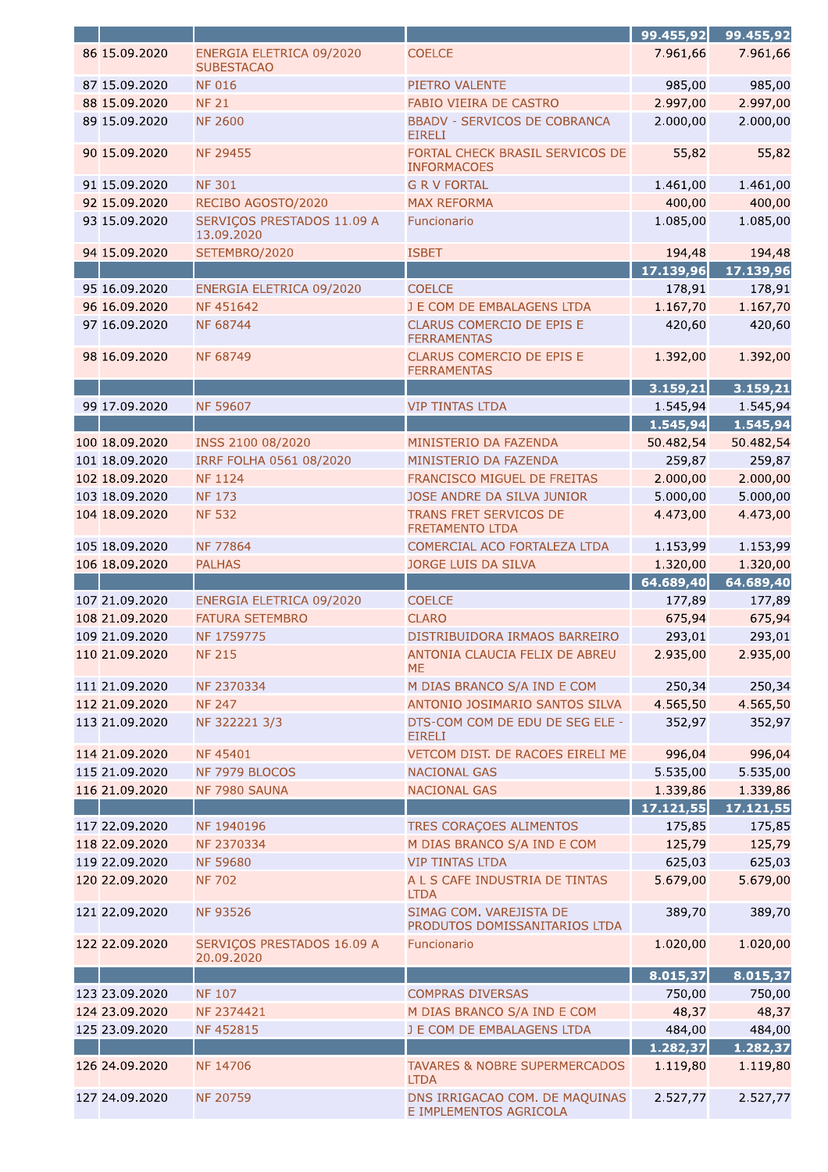|                |                                               |                                                          | 99.455,92             | 99.455,92             |
|----------------|-----------------------------------------------|----------------------------------------------------------|-----------------------|-----------------------|
| 86 15.09.2020  | ENERGIA ELETRICA 09/2020<br><b>SUBESTACAO</b> | <b>COELCE</b>                                            | 7.961,66              | 7.961,66              |
| 87 15.09.2020  | <b>NF 016</b>                                 | PIETRO VALENTE                                           | 985,00                | 985,00                |
| 88 15.09.2020  | <b>NF 21</b>                                  | FABIO VIEIRA DE CASTRO                                   | 2.997,00              | 2.997,00              |
| 89 15.09.2020  | <b>NF 2600</b>                                | <b>BBADV - SERVICOS DE COBRANCA</b><br><b>EIRELI</b>     | 2.000,00              | 2.000,00              |
| 90 15.09.2020  | <b>NF 29455</b>                               | FORTAL CHECK BRASIL SERVICOS DE<br><b>INFORMACOES</b>    | 55,82                 | 55,82                 |
| 91 15.09.2020  | <b>NF 301</b>                                 | <b>G R V FORTAL</b>                                      | 1.461,00              | 1.461,00              |
| 92 15.09.2020  | RECIBO AGOSTO/2020                            | <b>MAX REFORMA</b>                                       | 400,00                | 400,00                |
| 93 15.09.2020  | SERVIÇOS PRESTADOS 11.09 A<br>13.09.2020      | Funcionario                                              | 1.085,00              | 1.085,00              |
| 94 15.09.2020  | SETEMBRO/2020                                 | <b>ISBET</b>                                             | 194,48                | 194,48                |
|                |                                               |                                                          | 17.139,96             | 17.139,96             |
| 95 16.09.2020  | ENERGIA ELETRICA 09/2020                      | <b>COELCE</b>                                            | 178,91                | 178,91                |
| 96 16.09.2020  | NF 451642                                     | J E COM DE EMBALAGENS LTDA                               | 1.167,70              | 1.167,70              |
| 97 16.09.2020  | <b>NF 68744</b>                               | <b>CLARUS COMERCIO DE EPIS E</b><br><b>FERRAMENTAS</b>   | 420,60                | 420,60                |
| 98 16.09.2020  | <b>NF 68749</b>                               | CLARUS COMERCIO DE EPIS E<br><b>FERRAMENTAS</b>          | 1.392,00              | 1.392,00              |
|                |                                               |                                                          | 3.159, 21             | 3.159,21              |
| 99 17.09.2020  | <b>NF 59607</b>                               | <b>VIP TINTAS LTDA</b>                                   | 1.545,94              | 1.545,94              |
|                |                                               |                                                          | 1.545,94              | 1.545,94              |
| 100 18.09.2020 | INSS 2100 08/2020                             | MINISTERIO DA FAZENDA                                    | 50.482,54             | 50.482,54             |
| 101 18.09.2020 | IRRF FOLHA 0561 08/2020                       | MINISTERIO DA FAZENDA                                    | 259,87                | 259,87                |
| 102 18.09.2020 | <b>NF 1124</b>                                | FRANCISCO MIGUEL DE FREITAS                              | 2.000,00              |                       |
|                |                                               |                                                          |                       | 2.000,00              |
| 103 18.09.2020 | <b>NF173</b>                                  | JOSE ANDRE DA SILVA JUNIOR                               | 5.000,00              | 5.000,00              |
| 104 18.09.2020 | <b>NF 532</b>                                 | TRANS FRET SERVICOS DE<br><b>FRETAMENTO LTDA</b>         | 4.473,00              | 4.473,00              |
| 105 18.09.2020 | <b>NF 77864</b>                               | COMERCIAL ACO FORTALEZA LTDA                             | 1.153,99              | 1.153,99              |
| 106 18.09.2020 | <b>PALHAS</b>                                 | JORGE LUIS DA SILVA                                      | 1.320,00              | 1.320,00              |
|                |                                               |                                                          |                       |                       |
|                |                                               |                                                          | 64.689,40             | 64.689,40             |
| 107 21.09.2020 | ENERGIA ELETRICA 09/2020                      | <b>COELCE</b>                                            | 177,89                | 177,89                |
| 108 21.09.2020 | <b>FATURA SETEMBRO</b>                        | <b>CLARO</b>                                             | 675,94                | 675,94                |
| 109 21.09.2020 | NF 1759775                                    | DISTRIBUIDORA IRMAOS BARREIRO                            | 293,01                | 293,01                |
| 110 21.09.2020 | <b>NF 215</b>                                 | ANTONIA CLAUCIA FELIX DE ABREU<br><b>ME</b>              | 2.935,00              | 2.935,00              |
| 111 21.09.2020 | NF 2370334                                    | M DIAS BRANCO S/A IND E COM                              | 250,34                | 250,34                |
| 112 21.09.2020 | <b>NF 247</b>                                 | ANTONIO JOSIMARIO SANTOS SILVA                           | 4.565,50              |                       |
| 113 21.09.2020 | NF 322221 3/3                                 | DTS-COM COM DE EDU DE SEG ELE -<br><b>EIRELI</b>         | 352,97                | 4.565,50<br>352,97    |
| 114 21.09.2020 | NF 45401                                      | VETCOM DIST. DE RACOES EIRELI ME                         | 996,04                | 996,04                |
| 115 21.09.2020 | NF 7979 BLOCOS                                | <b>NACIONAL GAS</b>                                      |                       |                       |
|                |                                               |                                                          | 5.535,00              | 5.535,00              |
| 116 21.09.2020 | NF 7980 SAUNA                                 | <b>NACIONAL GAS</b>                                      | 1.339,86<br>17.121,55 | 1.339,86<br>17.121,55 |
| 117 22.09.2020 | NF 1940196                                    | TRES CORAÇOES ALIMENTOS                                  | 175,85                | 175,85                |
| 118 22.09.2020 | NF 2370334                                    | M DIAS BRANCO S/A IND E COM                              | 125,79                | 125,79                |
| 119 22.09.2020 | <b>NF 59680</b>                               | <b>VIP TINTAS LTDA</b>                                   |                       |                       |
| 120 22.09.2020 | <b>NF 702</b>                                 | A L S CAFE INDUSTRIA DE TINTAS<br><b>LTDA</b>            | 625,03<br>5.679,00    | 625,03<br>5.679,00    |
| 121 22.09.2020 | <b>NF 93526</b>                               | SIMAG COM. VAREJISTA DE<br>PRODUTOS DOMISSANITARIOS LTDA | 389,70                | 389,70                |
| 122 22.09.2020 | SERVIÇOS PRESTADOS 16.09 A<br>20.09.2020      | Funcionario                                              | 1.020,00              | 1.020,00              |
|                |                                               |                                                          | 8.015,37              | 8.015,37              |
| 123 23.09.2020 | <b>NF 107</b>                                 | <b>COMPRAS DIVERSAS</b>                                  | 750,00                | 750,00                |
|                |                                               |                                                          |                       |                       |
| 124 23.09.2020 | NF 2374421<br>NF 452815                       | M DIAS BRANCO S/A IND E COM                              | 48,37                 | 48,37                 |
| 125 23.09.2020 |                                               | J E COM DE EMBALAGENS LTDA                               | 484,00                | 484,00                |
| 126 24.09.2020 | NF 14706                                      | <b>TAVARES &amp; NOBRE SUPERMERCADOS</b><br><b>LTDA</b>  | 1.282,37<br>1.119,80  | 1.282,37<br>1.119,80  |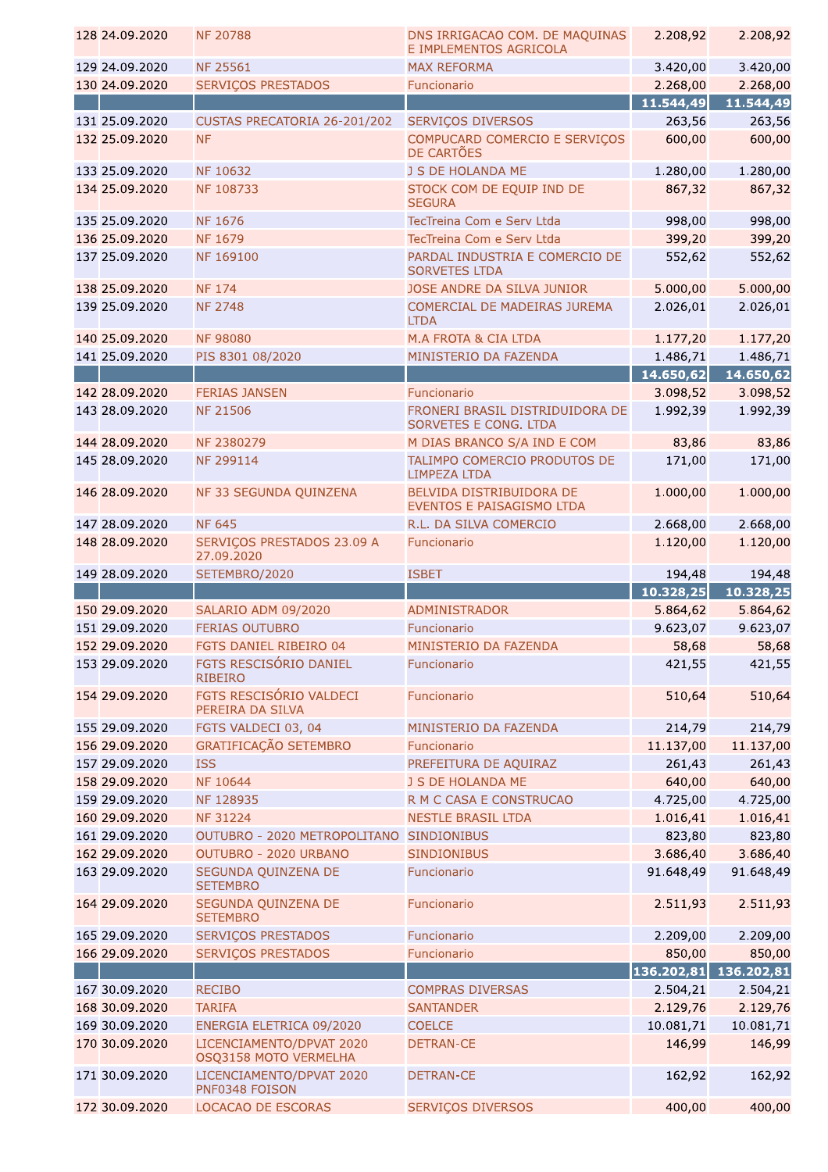| 128 24.09.2020 | <b>NF 20788</b>                                   | DNS IRRIGACAO COM. DE MAQUINAS<br>E IMPLEMENTOS AGRICOLA | 2.208,92              | 2.208,92              |
|----------------|---------------------------------------------------|----------------------------------------------------------|-----------------------|-----------------------|
| 129 24.09.2020 | <b>NF 25561</b>                                   | <b>MAX REFORMA</b>                                       | 3.420,00              | 3.420,00              |
| 130 24.09.2020 | <b>SERVIÇOS PRESTADOS</b>                         | Funcionario                                              | 2.268,00              | 2.268,00              |
|                |                                                   |                                                          | 11.544,49             | 11.544,49             |
| 131 25.09.2020 | CUSTAS PRECATORIA 26-201/202                      | <b>SERVIÇOS DIVERSOS</b>                                 | 263,56                | 263,56                |
| 132 25.09.2020 | <b>NF</b>                                         | COMPUCARD COMERCIO E SERVIÇOS<br>DE CARTÕES              | 600,00                | 600,00                |
| 133 25.09.2020 | NF 10632                                          | J S DE HOLANDA ME                                        | 1.280,00              | 1.280,00              |
| 134 25.09.2020 | NF 108733                                         | STOCK COM DE EQUIP IND DE<br><b>SEGURA</b>               | 867,32                | 867,32                |
| 135 25.09.2020 | <b>NF 1676</b>                                    | TecTreina Com e Serv Ltda                                | 998,00                | 998,00                |
| 136 25.09.2020 | <b>NF 1679</b>                                    | TecTreina Com e Serv Ltda                                | 399,20                | 399,20                |
| 137 25.09.2020 | NF 169100                                         | PARDAL INDUSTRIA E COMERCIO DE<br><b>SORVETES LTDA</b>   | 552,62                | 552,62                |
| 138 25.09.2020 | <b>NF 174</b>                                     | JOSE ANDRE DA SILVA JUNIOR                               | 5.000,00              | 5.000,00              |
| 139 25.09.2020 | <b>NF 2748</b>                                    | COMERCIAL DE MADEIRAS JUREMA<br><b>LTDA</b>              | 2.026,01              | 2.026,01              |
| 140 25.09.2020 | <b>NF 98080</b>                                   | M.A FROTA & CIA LTDA                                     | 1.177,20              | 1.177,20              |
| 141 25.09.2020 | PIS 8301 08/2020                                  | MINISTERIO DA FAZENDA                                    | 1.486,71              | 1.486,71              |
|                |                                                   |                                                          | 14.650,62             | 14.650,62             |
| 142 28.09.2020 | <b>FERIAS JANSEN</b>                              | Funcionario                                              | 3.098,52              | 3.098,52              |
| 143 28.09.2020 | <b>NF 21506</b>                                   | FRONERI BRASIL DISTRIDUIDORA DE<br>SORVETES E CONG. LTDA | 1.992,39              | 1.992,39              |
| 144 28.09.2020 | NF 2380279                                        | M DIAS BRANCO S/A IND E COM                              | 83,86                 | 83,86                 |
| 145 28.09.2020 | NF 299114                                         | TALIMPO COMERCIO PRODUTOS DE<br><b>LIMPEZA LTDA</b>      | 171,00                | 171,00                |
| 146 28.09.2020 | NF 33 SEGUNDA QUINZENA                            | BELVIDA DISTRIBUIDORA DE<br>EVENTOS E PAISAGISMO LTDA    | 1.000,00              | 1.000,00              |
| 147 28.09.2020 | <b>NF 645</b>                                     | R.L. DA SILVA COMERCIO                                   | 2.668,00              | 2.668,00              |
| 148 28.09.2020 | SERVIÇOS PRESTADOS 23.09 A<br>27.09.2020          | Funcionario                                              | 1.120,00              | 1.120,00              |
| 149 28.09.2020 | SETEMBRO/2020                                     | <b>ISBET</b>                                             | 194,48                | 194,48                |
|                |                                                   |                                                          |                       |                       |
|                |                                                   |                                                          | 10.328,25             | 10.328,25             |
| 150 29.09.2020 | SALARIO ADM 09/2020                               | <b>ADMINISTRADOR</b>                                     | 5.864,62              | 5.864,62              |
| 151 29.09.2020 | <b>FERIAS OUTUBRO</b>                             | Funcionario                                              | 9.623,07              | 9.623,07              |
| 152 29.09.2020 | FGTS DANIEL RIBEIRO 04                            | MINISTERIO DA FAZENDA                                    | 58,68                 | 58,68                 |
| 153 29.09.2020 | FGTS RESCISÓRIO DANIEL<br><b>RIBEIRO</b>          | Funcionario                                              | 421,55                | 421,55                |
| 154 29.09.2020 | FGTS RESCISÓRIO VALDECI<br>PEREIRA DA SILVA       | Funcionario                                              | 510,64                | 510,64                |
| 155 29.09.2020 | FGTS VALDECI 03, 04                               | MINISTERIO DA FAZENDA                                    | 214,79                | 214,79                |
| 156 29.09.2020 | GRATIFICAÇÃO SETEMBRO                             | Funcionario                                              | 11.137,00             | 11.137,00             |
| 157 29.09.2020 | <b>ISS</b>                                        | PREFEITURA DE AQUIRAZ                                    | 261,43                | 261,43                |
| 158 29.09.2020 | NF 10644                                          | J S DE HOLANDA ME                                        | 640,00                | 640,00                |
| 159 29.09.2020 | NF 128935                                         | R M C CASA E CONSTRUCAO                                  | 4.725,00              | 4.725,00              |
| 160 29.09.2020 | <b>NF 31224</b>                                   | <b>NESTLE BRASIL LTDA</b>                                | 1.016,41              | 1.016,41              |
| 161 29.09.2020 | OUTUBRO - 2020 METROPOLITANO                      | <b>SINDIONIBUS</b>                                       | 823,80                | 823,80                |
| 162 29.09.2020 | OUTUBRO - 2020 URBANO                             | <b>SINDIONIBUS</b>                                       |                       |                       |
| 163 29.09.2020 | SEGUNDA QUINZENA DE<br><b>SETEMBRO</b>            | Funcionario                                              | 3.686,40<br>91.648,49 | 3.686,40<br>91.648,49 |
| 164 29.09.2020 | SEGUNDA QUINZENA DE<br><b>SETEMBRO</b>            | Funcionario                                              | 2.511,93              | 2.511,93              |
| 165 29.09.2020 | <b>SERVIÇOS PRESTADOS</b>                         | Funcionario                                              | 2.209,00              | 2.209,00              |
| 166 29.09.2020 | <b>SERVIÇOS PRESTADOS</b>                         | Funcionario                                              | 850,00                | 850,00                |
|                |                                                   |                                                          | 136.202,81            | 136.202,81            |
| 167 30.09.2020 | <b>RECIBO</b>                                     | <b>COMPRAS DIVERSAS</b>                                  | 2.504,21              | 2.504,21              |
| 168 30.09.2020 | <b>TARIFA</b>                                     | <b>SANTANDER</b>                                         |                       | 2.129,76              |
| 169 30.09.2020 | ENERGIA ELETRICA 09/2020                          | <b>COELCE</b>                                            | 2.129,76<br>10.081,71 | 10.081,71             |
| 170 30.09.2020 | LICENCIAMENTO/DPVAT 2020<br>OSQ3158 MOTO VERMELHA | <b>DETRAN-CE</b>                                         | 146,99                | 146,99                |
| 171 30.09.2020 | LICENCIAMENTO/DPVAT 2020<br>PNF0348 FOISON        | <b>DETRAN-CE</b>                                         | 162,92                | 162,92                |